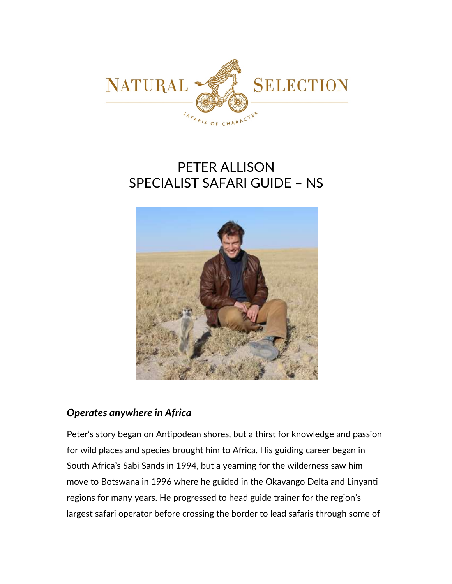

# PETER ALLISON SPECIALIST SAFARI GUIDE – NS



### *Operates anywhere in Africa*

Peter's story began on Antipodean shores, but a thirst for knowledge and passion for wild places and species brought him to Africa. His guiding career began in South Africa's Sabi Sands in 1994, but a yearning for the wilderness saw him move to Botswana in 1996 where he guided in the Okavango Delta and Linyanti regions for many years. He progressed to head guide trainer for the region's largest safari operator before crossing the border to lead safaris through some of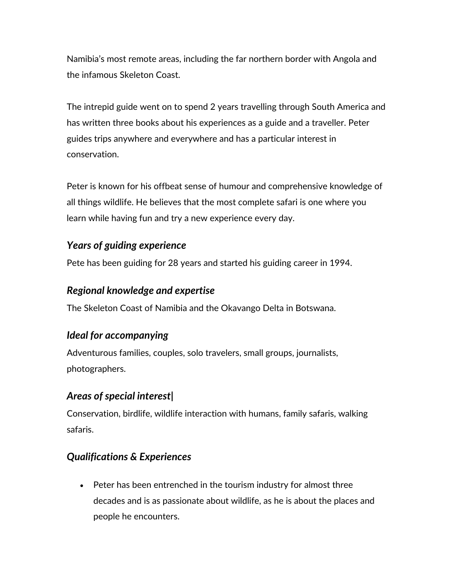Namibia's most remote areas, including the far northern border with Angola and the infamous Skeleton Coast.

The intrepid guide went on to spend 2 years travelling through South America and has written three books about his experiences as a guide and a traveller. Peter guides trips anywhere and everywhere and has a particular interest in conservation.

Peter is known for his offbeat sense of humour and comprehensive knowledge of all things wildlife. He believes that the most complete safari is one where you learn while having fun and try a new experience every day.

### *Years of guiding experience*

Pete has been guiding for 28 years and started his guiding career in 1994.

## *Regional knowledge and expertise*

The Skeleton Coast of Namibia and the Okavango Delta in Botswana.

# *Ideal for accompanying*

Adventurous families, couples, solo travelers, small groups, journalists, photographers.

# *Areas of special interest|*

Conservation, birdlife, wildlife interaction with humans, family safaris, walking safaris.

# *Qualifications & Experiences*

• Peter has been entrenched in the tourism industry for almost three decades and is as passionate about wildlife, as he is about the places and people he encounters.